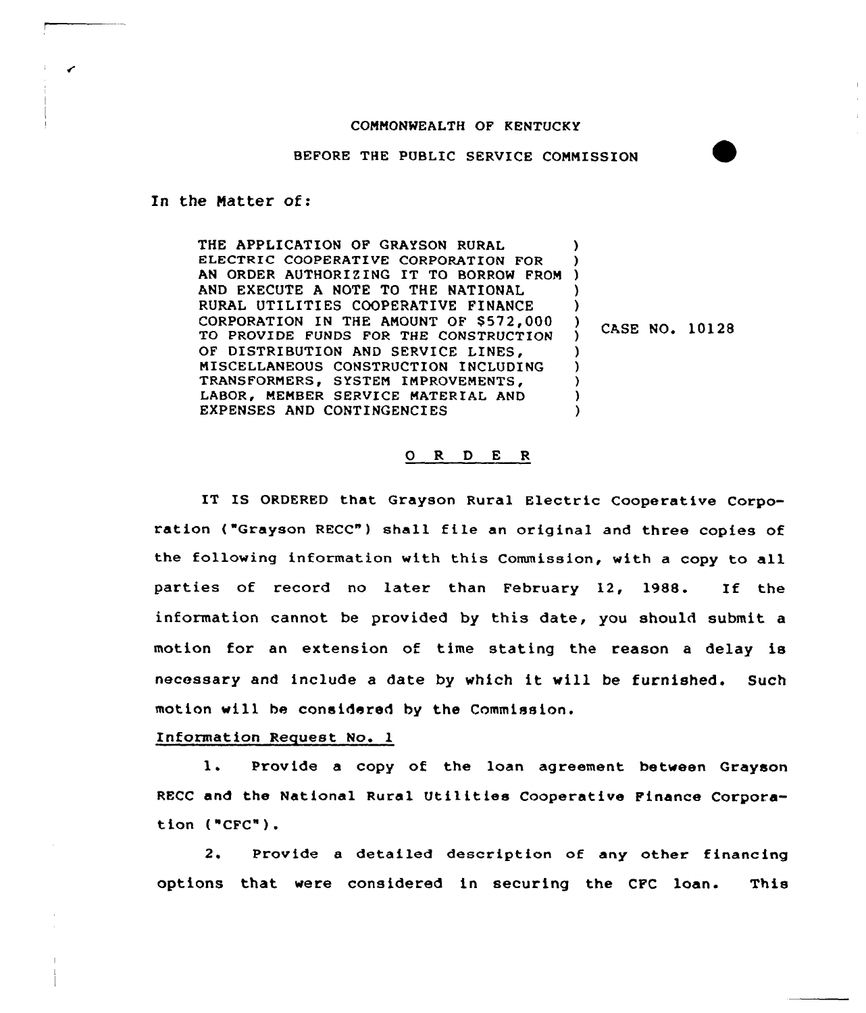## COMMONWEALTH OF KENTUCKY

BEFORE THE PUBLIC SERVICE COMMISSION

In the Matter of:

THE APPLICATION OF GRAYSON RURAL ELECTRIC COOPERATIVE CORPORATION FOR ELECTRIC COOPERATIVE CORPORATION FOR<br>AN ORDER AUTHORIZING IT TO BORROW FROM ) AND EXECUTE A NOTE TO THE NATIONAL RURAL UTILITIES COOPERATIVE FINANCE CORPORATION IN THE AMOUNT OF \$572,000 TO PROVIDE FUNDS FOR THE CONSTRUCTION OF DISTRIBUTION AND SERVICE LINES, MISCELLANEOUS CONSTRUCTION INCLUDING TRANSFORMERS, SYSTEM IMPROVEMENTS, LABOR, MEMBER SERVICE MATERIAL AND EXPENSES AND CONTINGENCIES ) ) ) )  $\frac{1}{1}$  CASE NO. 10128 ) ) ) ) )

## 0 R <sup>D</sup> E <sup>R</sup>

IT IS ORDERED that Grayson Rural Electric Cooperative Corporation ("Grayson RECC") shall file an original and three copies of the following information with this Commission, with a copy to all parties of record no later than February 12, 1988. If the information cannot be provided by this date, you should submit a motion for an extension of time stating the reason a delay is necessary and include <sup>a</sup> date by which it will be furnished. Such motion will be considered by the Commission.

Information Request No. 1

1. Provide <sup>a</sup> copy of the loan agreement between Grayson RECC and the National Rural Utilities Cooperative Finance Corporation ("CFC").

2. Provide a detailed description of any other financing options that were considered in securing the CFC loan. This